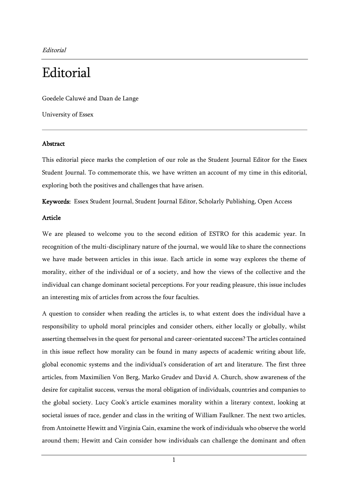Editorial

# **Editorial**

Goedele Caluwé and Daan de Lange

University of Essex

## Abstract

This editorial piece marks the completion of our role as the Student Journal Editor for the Essex Student Journal. To commemorate this, we have written an account of my time in this editorial, exploring both the positives and challenges that have arisen.

Keywords: Essex Student Journal, Student Journal Editor, Scholarly Publishing, Open Access

### Article

We are pleased to welcome you to the second edition of ESTRO for this academic year. In recognition of the multi-disciplinary nature of the journal, we would like to share the connections we have made between articles in this issue. Each article in some way explores the theme of morality, either of the individual or of a society, and how the views of the collective and the individual can change dominant societal perceptions. For your reading pleasure, this issue includes an interesting mix of articles from across the four faculties.

A question to consider when reading the articles is, to what extent does the individual have a responsibility to uphold moral principles and consider others, either locally or globally, whilst asserting themselves in the quest for personal and career-orientated success? The articles contained in this issue reflect how morality can be found in many aspects of academic writing about life, global economic systems and the individual's consideration of art and literature. The first three articles, from Maximilien Von Berg, Marko Grudev and David A. Church, show awareness of the desire for capitalist success, versus the moral obligation of individuals, countries and companies to the global society. Lucy Cook's article examines morality within a literary context, looking at societal issues of race, gender and class in the writing of William Faulkner. The next two articles, from Antoinette Hewitt and Virginia Cain, examine the work of individuals who observe the world around them; Hewitt and Cain consider how individuals can challenge the dominant and often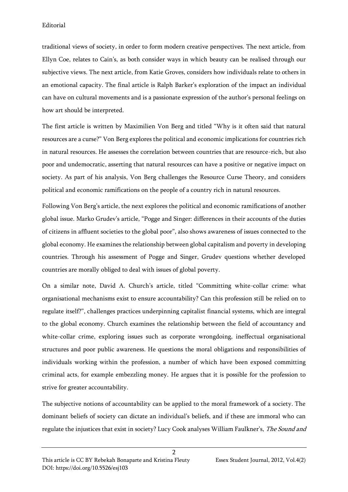traditional views of society, in order to form modern creative perspectives. The next article, from Ellyn Coe, relates to Cain's, as both consider ways in which beauty can be realised through our subjective views. The next article, from Katie Groves, considers how individuals relate to others in an emotional capacity. The final article is Ralph Barker's exploration of the impact an individual can have on cultural movements and is a passionate expression of the author's personal feelings on how art should be interpreted.

The first article is written by Maximilien Von Berg and titled "Why is it often said that natural resources are a curse?" Von Berg explores the political and economic implications for countries rich in natural resources. He assesses the correlation between countries that are resource-rich, but also poor and undemocratic, asserting that natural resources can have a positive or negative impact on society. As part of his analysis, Von Berg challenges the Resource Curse Theory, and considers political and economic ramifications on the people of a country rich in natural resources.

Following Von Berg's article, the next explores the political and economic ramifications of another global issue. Marko Grudev's article, "Pogge and Singer: differences in their accounts of the duties of citizens in affluent societies to the global poor", also shows awareness of issues connected to the global economy. He examines the relationship between global capitalism and poverty in developing countries. Through his assessment of Pogge and Singer, Grudev questions whether developed countries are morally obliged to deal with issues of global poverty.

On a similar note, David A. Church's article, titled "Committing white-collar crime: what organisational mechanisms exist to ensure accountability? Can this profession still be relied on to regulate itself?", challenges practices underpinning capitalist financial systems, which are integral to the global economy. Church examines the relationship between the field of accountancy and white-collar crime, exploring issues such as corporate wrongdoing, ineffectual organisational structures and poor public awareness. He questions the moral obligations and responsibilities of individuals working within the profession, a number of which have been exposed committing criminal acts, for example embezzling money. He argues that it is possible for the profession to strive for greater accountability.

The subjective notions of accountability can be applied to the moral framework of a society. The dominant beliefs of society can dictate an individual's beliefs, and if these are immoral who can regulate the injustices that exist in society? Lucy Cook analyses William Faulkner's, The Sound and

 $\overline{2}$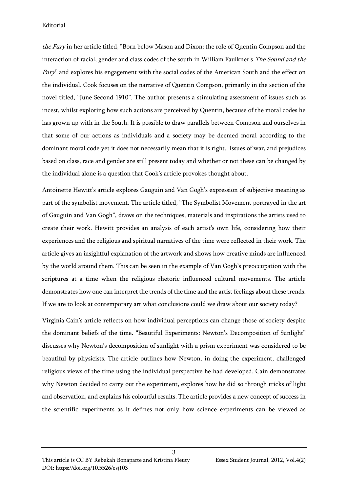### Editorial

the Fury in her article titled, "Born below Mason and Dixon: the role of Quentin Compson and the interaction of racial, gender and class codes of the south in William Faulkner's The Sound and the Fury" and explores his engagement with the social codes of the American South and the effect on the individual. Cook focuses on the narrative of Quentin Compson, primarily in the section of the novel titled, "June Second 1910". The author presents a stimulating assessment of issues such as incest, whilst exploring how such actions are perceived by Quentin, because of the moral codes he has grown up with in the South. It is possible to draw parallels between Compson and ourselves in that some of our actions as individuals and a society may be deemed moral according to the dominant moral code yet it does not necessarily mean that it is right. Issues of war, and prejudices based on class, race and gender are still present today and whether or not these can be changed by the individual alone is a question that Cook's article provokes thought about.

Antoinette Hewitt's article explores Gauguin and Van Gogh's expression of subjective meaning as part of the symbolist movement. The article titled, "The Symbolist Movement portrayed in the art of Gauguin and Van Gogh", draws on the techniques, materials and inspirations the artists used to create their work. Hewitt provides an analysis of each artist's own life, considering how their experiences and the religious and spiritual narratives of the time were reflected in their work. The article gives an insightful explanation of the artwork and shows how creative minds are influenced by the world around them. This can be seen in the example of Van Gogh's preoccupation with the scriptures at a time when the religious rhetoric influenced cultural movements. The article demonstrates how one can interpret the trends of the time and the artist feelings about these trends. If we are to look at contemporary art what conclusions could we draw about our society today?

Virginia Cain's article reflects on how individual perceptions can change those of society despite the dominant beliefs of the time. "Beautiful Experiments: Newton's Decomposition of Sunlight" discusses why Newton's decomposition of sunlight with a prism experiment was considered to be beautiful by physicists. The article outlines how Newton, in doing the experiment, challenged religious views of the time using the individual perspective he had developed. Cain demonstrates why Newton decided to carry out the experiment, explores how he did so through tricks of light and observation, and explains his colourful results. The article provides a new concept of success in the scientific experiments as it defines not only how science experiments can be viewed as

3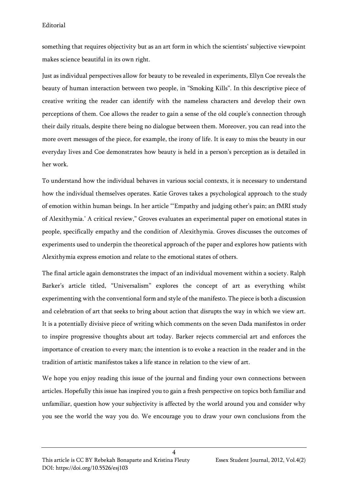### Editorial

something that requires objectivity but as an art form in which the scientists' subjective viewpoint makes science beautiful in its own right.

Just as individual perspectives allow for beauty to be revealed in experiments, Ellyn Coe reveals the beauty of human interaction between two people, in "Smoking Kills". In this descriptive piece of creative writing the reader can identify with the nameless characters and develop their own perceptions of them. Coe allows the reader to gain a sense of the old couple's connection through their daily rituals, despite there being no dialogue between them. Moreover, you can read into the more overt messages of the piece, for example, the irony of life. It is easy to miss the beauty in our everyday lives and Coe demonstrates how beauty is held in a person's perception as is detailed in her work.

To understand how the individual behaves in various social contexts, it is necessary to understand how the individual themselves operates. Katie Groves takes a psychological approach to the study of emotion within human beings. In her article "'Empathy and judging other's pain; an fMRI study of Alexithymia.' A critical review," Groves evaluates an experimental paper on emotional states in people, specifically empathy and the condition of Alexithymia. Groves discusses the outcomes of experiments used to underpin the theoretical approach of the paper and explores how patients with Alexithymia express emotion and relate to the emotional states of others.

The final article again demonstrates the impact of an individual movement within a society. Ralph Barker's article titled, "Universalism" explores the concept of art as everything whilst experimenting with the conventional form and style of the manifesto. The piece is both a discussion and celebration of art that seeks to bring about action that disrupts the way in which we view art. It is a potentially divisive piece of writing which comments on the seven Dada manifestos in order to inspire progressive thoughts about art today. Barker rejects commercial art and enforces the importance of creation to every man; the intention is to evoke a reaction in the reader and in the tradition of artistic manifestos takes a life stance in relation to the view of art.

We hope you enjoy reading this issue of the journal and finding your own connections between articles. Hopefully this issue has inspired you to gain a fresh perspective on topics both familiar and unfamiliar, question how your subjectivity is affected by the world around you and consider why you see the world the way you do. We encourage you to draw your own conclusions from the

 $\overline{\mathbf{A}}$